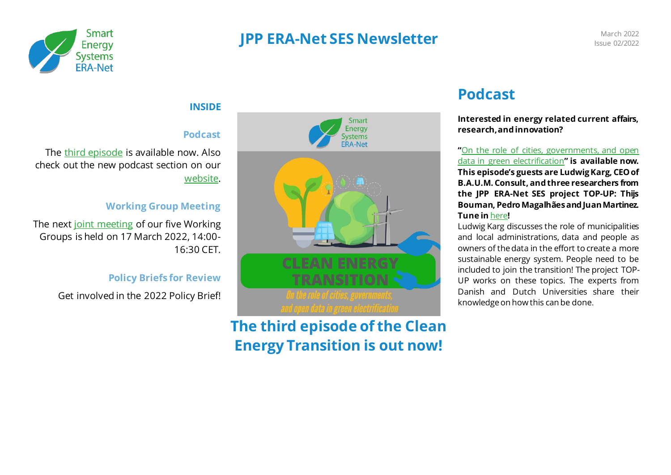

### **JPP ERA-Net SES Newsletter** March 2022<br>
March 2022<br>
March 2022

## Issue 02/2022

### **INSIDE**

#### **Podcast**

The third [episode](https://open.spotify.com/episode/1jeg9K6iCdwUgx5JvG4wIQ) is available now. Also check out the new podcast section on our [website.](https://eranet-smartenergysystems.eu/Podcast)

#### **Working Group Meeting**

The next [joint meeting](https://eranet-smartenergysystems.eu/Event/82/JPP-ERA-Net-SES-Virtual-Working-Group-Meeting-Spring-2022.html) of our five Working Groups is held on 17 March 2022, 14:00- 16:30 CET.

#### **Policy Briefs for Review**

Get involved in the 2022 Policy Brief!



**The third episode of the Clean Energy Transition is out now!**

### **Podcast**

**Interested in energy related current affairs, research, and innovation?**

**"**[On the role of cities, governments, and open](https://open.spotify.com/episode/1jeg9K6iCdwUgx5JvG4wIQ)  [data in green electrification](https://open.spotify.com/episode/1jeg9K6iCdwUgx5JvG4wIQ)**" is available now. This episode's guests are Ludwig Karg, CEO of B.A.U.M. Consult, and three researchers from the JPP ERA-Net SES project TOP-UP: Thijs Bouman, Pedro Magalhães and Juan Martinez. Tune in** [here](https://open.spotify.com/episode/1jeg9K6iCdwUgx5JvG4wIQ)**!**

Ludwig Karg discusses the role of municipalities and local administrations, data and people as owners of the data in the effort to create a more sustainable energy system. People need to be included to join the transition! The project TOP-UP works on these topics. The experts from Danish and Dutch Universities share their knowledge on how this can be done.